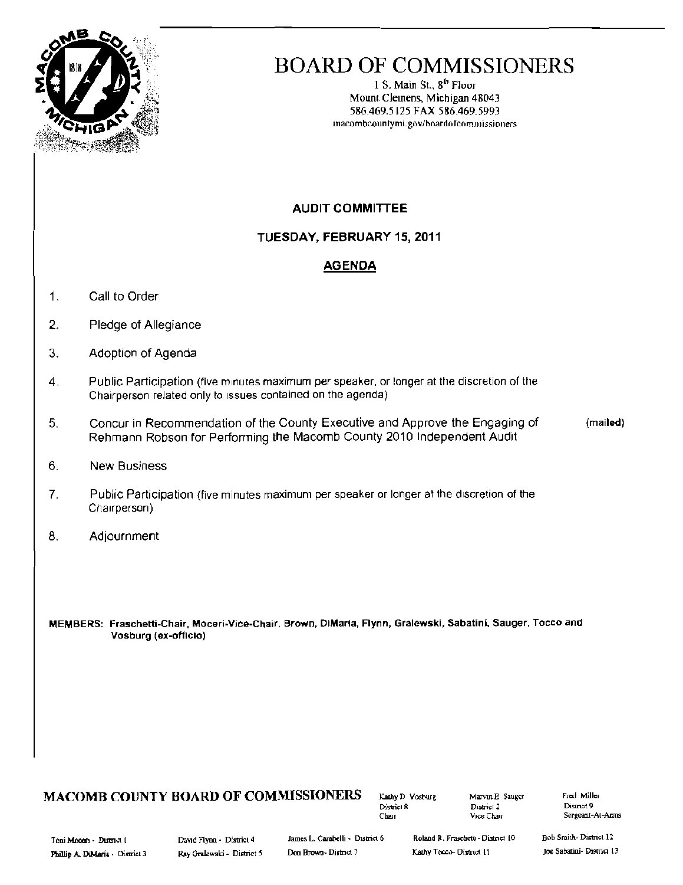

# **BOARD OF COMMISSIONERS**

1 S. Main St., 8<sup>th</sup> Floor Mount Clemens, Michigan 48043 586.469.5125 FAX 586.469.5993 macombcountymi.gov/boardofcommissioners

## **AUDIT COMMITTEE**

TUESDAY, FEBRUARY 15, 2011

## **AGENDA**

- $\mathbf{1}$ . Call to Order
- $\overline{2}$ . Pledge of Allegiance
- 3. Adoption of Agenda
- $\overline{4}$ . Public Participation (five minutes maximum per speaker, or longer at the discretion of the Chairperson related only to issues contained on the agenda)
- Concur in Recommendation of the County Executive and Approve the Engaging of (mailed) 5. Rehmann Robson for Performing the Macomb County 2010 Independent Audit
- 6. **New Business**
- $7<sub>1</sub>$ Public Participation (five minutes maximum per speaker or longer at the discretion of the Chairperson)
- 8. Adjournment

MEMBERS: Fraschetti-Chair, Moceri-Vice-Chair, Brown, DiMaria, Flynn, Gralewski, Sabatini, Sauger, Tocco and Vosburg (ex-officio)

### MACOMB COUNTY BOARD OF COMMISSIONERS

Kathy D. Vosburg District 8 Chair

Marvin E Sauger District 2 Vice Chair

Fred Miller District 9 Sergeant-At-Arms

Toni Moom - Duttret I Phillip A. DiMaria - District 3 David Flynn - District 4 Ray Gralewski - District 5

James L. Carabelli - District 6 Don Brown-District 7

Roland R. Fraschetti - District 10 Kathy Tocco- District 11

**Bob Smith-District 12** Joe Sabatini- District 13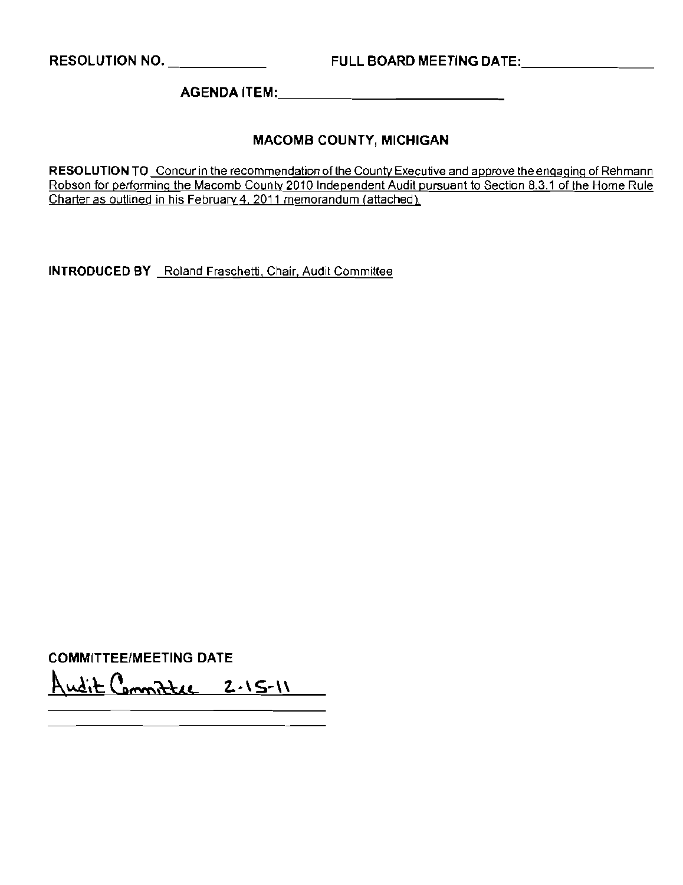RESOLUTION NO. \_\_\_\_\_\_\_\_\_\_\_\_\_\_\_ FULL BOARD MEETING DATE:\_\_\_\_\_\_\_\_\_\_\_\_\_\_\_\_\_\_\_\_\_\_

AGENDA ITEM: \_

### MACOMB COUNTY, MICHIGAN

**RESOLUTION TO** Concur in the recommendation of the County Executive and approve the engaging of Rehmann Robson for performing the Macomb County 2010 Independent Audit pursuant to Section 8.3.1 of the Home Rule Charter as outlined in his February 4,2011 memorandum (attached).

**INTRODUCED BY** Roland Fraschetti, Chair. Audit Committee

COMMITTEE/MEETING DATE Andit Committee 2.15-11